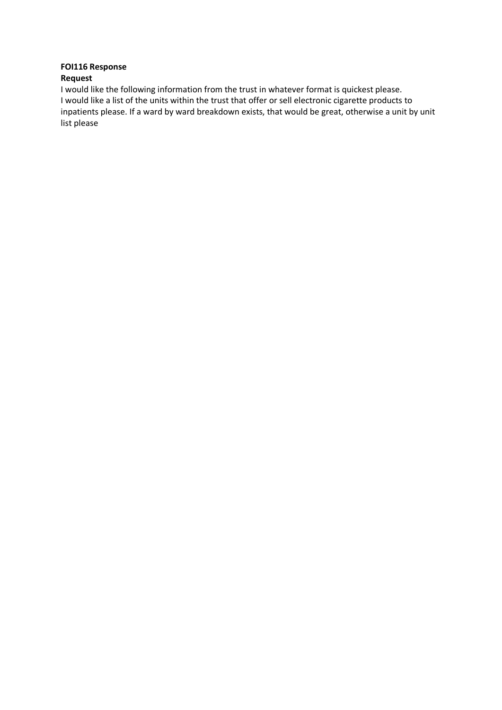## **FOI116 Response**

## **Request**

I would like the following information from the trust in whatever format is quickest please. I would like a list of the units within the trust that offer or sell electronic cigarette products to inpatients please. If a ward by ward breakdown exists, that would be great, otherwise a unit by unit list please